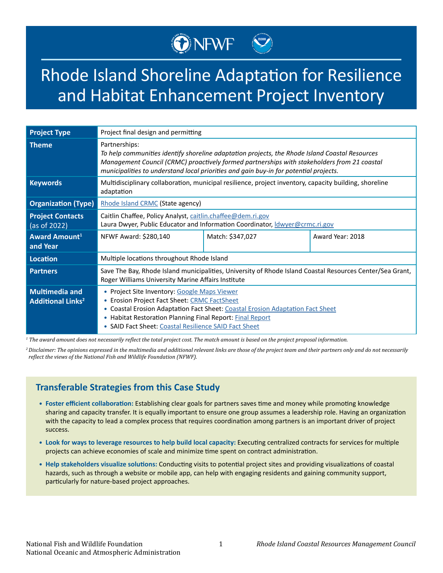# Rhode Island Shoreline Adaptation for Resilience and Habitat Enhancement Project Inventory

ONEWF<sup>W</sup>

| <b>Project Type</b>                                          | Project final design and permitting                                                                                                                                                                                                                                                                     |                  |                  |
|--------------------------------------------------------------|---------------------------------------------------------------------------------------------------------------------------------------------------------------------------------------------------------------------------------------------------------------------------------------------------------|------------------|------------------|
| <b>Theme</b>                                                 | Partnerships:<br>To help communities identify shoreline adaptation projects, the Rhode Island Coastal Resources<br>Management Council (CRMC) proactively formed partnerships with stakeholders from 21 coastal<br>municipalities to understand local priorities and gain buy-in for potential projects. |                  |                  |
| <b>Keywords</b>                                              | Multidisciplinary collaboration, municipal resilience, project inventory, capacity building, shoreline<br>adaptation                                                                                                                                                                                    |                  |                  |
| <b>Organization (Type)</b>                                   | Rhode Island CRMC (State agency)                                                                                                                                                                                                                                                                        |                  |                  |
| <b>Project Contacts</b><br>(as of 2022)                      | Caitlin Chaffee, Policy Analyst, caitlin.chaffee@dem.ri.gov<br>Laura Dwyer, Public Educator and Information Coordinator, <i>Idwyer@crmc.ri.gov</i>                                                                                                                                                      |                  |                  |
| <b>Award Amount</b> <sup>1</sup><br>and Year                 | NFWF Award: \$280,140                                                                                                                                                                                                                                                                                   | Match: \$347,027 | Award Year: 2018 |
| Location                                                     | Multiple locations throughout Rhode Island                                                                                                                                                                                                                                                              |                  |                  |
| <b>Partners</b>                                              | Save The Bay, Rhode Island municipalities, University of Rhode Island Coastal Resources Center/Sea Grant,<br>Roger Williams University Marine Affairs Institute                                                                                                                                         |                  |                  |
| <b>Multimedia and</b><br><b>Additional Links<sup>2</sup></b> | • Project Site Inventory: Google Maps Viewer<br>• Erosion Project Fact Sheet: CRMC FactSheet<br>• Coastal Erosion Adaptation Fact Sheet: Coastal Erosion Adaptation Fact Sheet<br>• Habitat Restoration Planning Final Report: Final Report<br>• SAID Fact Sheet: Coastal Resilience SAID Fact Sheet    |                  |                  |

*1 The award amount does not necessarily reflect the total project cost. The match amount is based on the project proposal information.*

*<sup>2</sup>Disclaimer: The opinions expressed in the multimedia and additional relevant links are those of the project team and their partners only and do not necessarily reflect the views of the National Fish and Wildlife Foundation (NFWF).*

## **Transferable Strategies from this Case Study**

- **• Foster efficient collaboration:** Establishing clear goals for partners saves time and money while promoting knowledge sharing and capacity transfer. It is equally important to ensure one group assumes a leadership role. Having an organization with the capacity to lead a complex process that requires coordination among partners is an important driver of project success.
- **• Look for ways to leverage resources to help build local capacity:** Executing centralized contracts for services for multiple projects can achieve economies of scale and minimize time spent on contract administration.
- **• Help stakeholders visualize solutions:** Conducting visits to potential project sites and providing visualizations of coastal hazards, such as through a website or mobile app, can help with engaging residents and gaining community support, particularly for nature-based project approaches.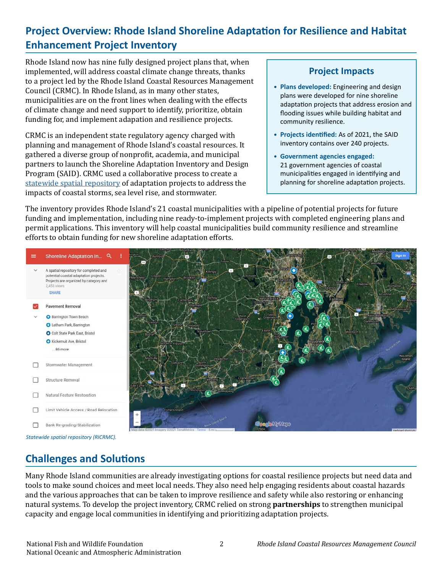# **Project Overview: Rhode Island Shoreline Adaptation for Resilience and Habitat Enhancement Project Inventory**

Rhode Island now has nine fully designed project plans that, when implemented, will address coastal climate change threats, thanks to a project led by the Rhode Island Coastal Resources Management Council (CRMC). In Rhode Island, as in many other states, municipalities are on the front lines when dealing with the effects of climate change and need support to identify, prioritize, obtain funding for, and implement adapation and resilience projects.

CRMC is an independent state regulatory agency charged with planning and management of Rhode Island's coastal resources. It gathered a diverse group of nonprofit, academia, and municipal partners to launch the Shoreline Adaptation Inventory and Design Program (SAID). CRMC used a collaborative process to create a [statewide spatial repository](https://www.google.com/maps/d/viewer?mid=1NoVsMtCbisbKvGVc5DUdsQih6E34wOZd&ll=41.53730606839752%2C-71.49960279999999&z=10) of adaptation projects to address the impacts of coastal storms, sea level rise, and stormwater.

## **Project Impacts**

- **• Plans developed:** Engineering and design plans were developed for nine shoreline adaptation projects that address erosion and flooding issues while building habitat and community resilience.
- **• Projects identified:** As of 2021, the SAID inventory contains over 240 projects.
- **• Government agencies engaged:** 21 government agencies of coastal municipalities engaged in identifying and planning for shoreline adaptation projects.

The inventory provides Rhode Island's 21 coastal municipalities with a pipeline of potential projects for future funding and implementation, including nine ready-to-implement projects with completed engineering plans and permit applications. This inventory will help coastal municipalities build community resilience and streamline efforts to obtain funding for new shoreline adaptation efforts.



# **Challenges and Solutions**

Many Rhode Island communities are already investigating options for coastal resilience projects but need data and tools to make sound choices and meet local needs. They also need help engaging residents about coastal hazards and the various approaches that can be taken to improve resilience and safety while also restoring or enhancing natural systems. To develop the project inventory, CRMC relied on strong **partnerships** to strengthen municipal capacity and engage local communities in identifying and prioritizing adaptation projects.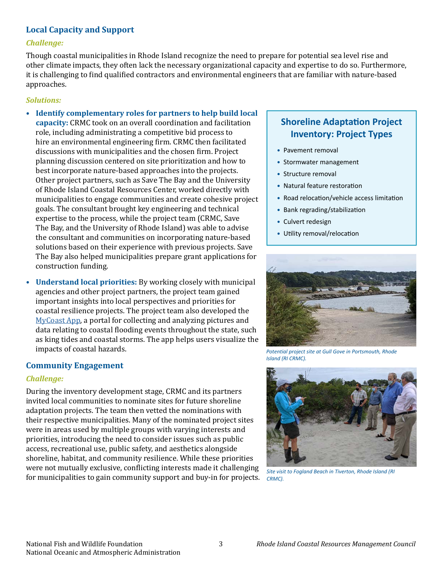### **Local Capacity and Support**

#### *Challenge:*

Though coastal municipalities in Rhode Island recognize the need to prepare for potential sea level rise and other climate impacts, they often lack the necessary organizational capacity and expertise to do so. Furthermore, it is challenging to find qualified contractors and environmental engineers that are familiar with nature-based approaches.

#### *Solutions:*

- **• Identify complementary roles for partners to help build local capacity:** CRMC took on an overall coordination and facilitation role, including administrating a competitive bid process to hire an environmental engineering firm. CRMC then facilitated discussions with municipalities and the chosen firm. Project planning discussion centered on site prioritization and how to best incorporate nature-based approaches into the projects. Other project partners, such as Save The Bay and the University of Rhode Island Coastal Resources Center, worked directly with municipalities to engage communities and create cohesive project goals. The consultant brought key engineering and technical expertise to the process, while the project team (CRMC, Save The Bay, and the University of Rhode Island) was able to advise the consultant and communities on incorporating nature-based solutions based on their experience with previous projects. Save The Bay also helped municipalities prepare grant applications for construction funding.
- **• Understand local priorities:** By working closely with municipal agencies and other project partners, the project team gained important insights into local perspectives and priorities for coastal resilience projects. The project team also developed the [MyCoast App](https://mycoast.org/ri), a portal for collecting and analyzing pictures and data relating to coastal flooding events throughout the state, such as king tides and coastal storms. The app helps users visualize the impacts of coastal hazards.

#### **Community Engagement**

#### *Challenge:*

During the inventory development stage, CRMC and its partners invited local communities to nominate sites for future shoreline adaptation projects. The team then vetted the nominations with their respective municipalities. Many of the nominated project sites were in areas used by multiple groups with varying interests and priorities, introducing the need to consider issues such as public access, recreational use, public safety, and aesthetics alongside shoreline, habitat, and community resilience. While these priorities were not mutually exclusive, conflicting interests made it challenging for municipalities to gain community support and buy-in for projects.

# **Shoreline Adaptation Project Inventory: Project Types**

- **•** Pavement removal
- **•** Stormwater management
- **•** Structure removal
- **•** Natural feature restoration
- **•** Road relocation/vehicle access limitation
- **•** Bank regrading/stabilization
- **•** Culvert redesign
- **•** Utility removal/relocation



*Potential project site at Gull Gove in Portsmouth, Rhode Island (RI CRMC).* 



*Site visit to Fogland Beach in Tiverton, Rhode Island (RI CRMC).*